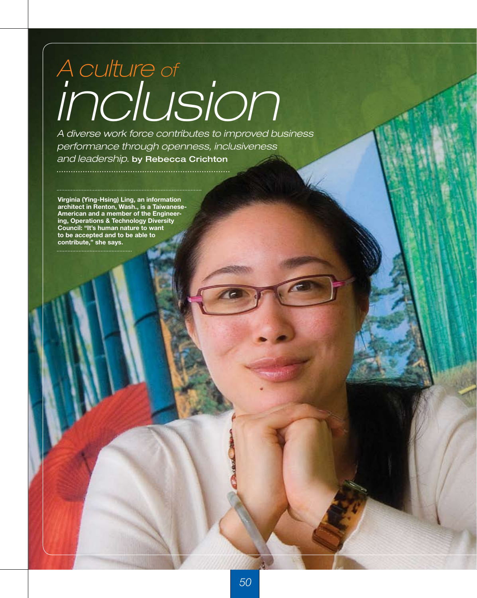# *inclusion A culture of*

*A diverse work force contributes to improved business performance through openness, inclusiveness and leadership.* by Rebecca Crichton

**Virginia (Ying-Hsing) Ling, an information architect in Renton, Wash., is a Taiwanese-American and a member of the Engineering, Operations & Technology Diversity Council: "It's human nature to want to be accepted and to be able to contribute," she says.**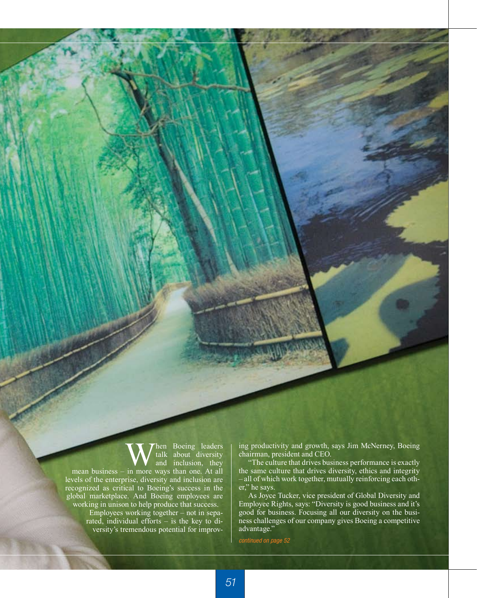When Boeing leaders<br>and inclusion, they<br>in more ways than one At all talk about diversity and inclusion, they mean business – in more ways than one. At all levels of the enterprise, diversity and inclusion are recognized as critical to Boeing's success in the global marketplace. And Boeing employees are working in unison to help produce that success. Employees working together – not in sepa-

rated, individual efforts – is the key to diversity's tremendous potential for improving productivity and growth, says Jim McNerney, Boeing chairman, president and CEO.

"The culture that drives business performance is exactly the same culture that drives diversity, ethics and integrity – all of which work together, mutually reinforcing each other," he says.

As Joyce Tucker, vice president of Global Diversity and Employee Rights, says: "Diversity is good business and it's good for business. Focusing all our diversity on the business challenges of our company gives Boeing a competitive advantage."

*continued on page 52*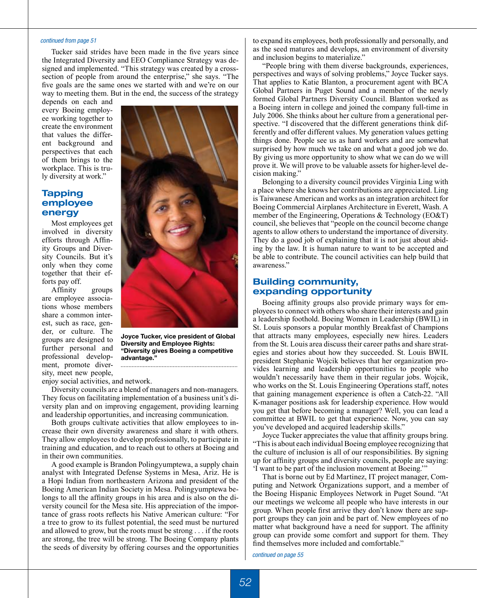#### *continued from page 51*

Tucker said strides have been made in the five years since the Integrated Diversity and EEO Compliance Strategy was designed and implemented. "This strategy was created by a crosssection of people from around the enterprise," she says. "The five goals are the same ones we started with and we're on our way to meeting them. But in the end, the success of the strategy

depends on each and every Boeing employee working together to create the environment that values the different background and perspectives that each of them brings to the workplace. This is truly diversity at work."

## **Tapping employee energy**

Most employees get involved in diversity efforts through Affinity Groups and Diversity Councils. But it's only when they come together that their efforts pay off.

Affinity groups are employee associations whose members share a common interest, such as race, gender, or culture. The groups are designed to further personal and professional development, promote diversity, meet new people,



**Joyce Tucker, vice president of Global Diversity and Employee Rights: "Diversity gives Boeing a competitive advantage."**

enjoy social activities, and network.

Diversity councils are a blend of managers and non-managers. They focus on facilitating implementation of a business unit's diversity plan and on improving engagement, providing learning and leadership opportunities, and increasing communication.

Both groups cultivate activities that allow employees to increase their own diversity awareness and share it with others. They allow employees to develop professionally, to participate in training and education, and to reach out to others at Boeing and in their own communities.

A good example is Brandon Polingyumptewa, a supply chain analyst with Integrated Defense Systems in Mesa, Ariz. He is a Hopi Indian from northeastern Arizona and president of the Boeing American Indian Society in Mesa. Polingyumptewa belongs to all the affinity groups in his area and is also on the diversity council for the Mesa site. His appreciation of the importance of grass roots reflects his Native American culture: "For a tree to grow to its fullest potential, the seed must be nurtured and allowed to grow, but the roots must be strong . . . if the roots are strong, the tree will be strong. The Boeing Company plants the seeds of diversity by offering courses and the opportunities to expand its employees, both professionally and personally, and as the seed matures and develops, an environment of diversity and inclusion begins to materialize."

"People bring with them diverse backgrounds, experiences, perspectives and ways of solving problems," Joyce Tucker says. That applies to Katie Blanton, a procurement agent with BCA Global Partners in Puget Sound and a member of the newly formed Global Partners Diversity Council. Blanton worked as a Boeing intern in college and joined the company full-time in July 2006. She thinks about her culture from a generational perspective. "I discovered that the different generations think differently and offer different values. My generation values getting things done. People see us as hard workers and are somewhat surprised by how much we take on and what a good job we do. By giving us more opportunity to show what we can do we will prove it. We will prove to be valuable assets for higher-level decision making."

Belonging to a diversity council provides Virginia Ling with a place where she knows her contributions are appreciated. Ling is Taiwanese American and works as an integration architect for Boeing Commercial Airplanes Architecture in Everett, Wash. A member of the Engineering, Operations & Technology (EO&T) council, she believes that "people on the council become change agents to allow others to understand the importance of diversity. They do a good job of explaining that it is not just about abiding by the law. It is human nature to want to be accepted and be able to contribute. The council activities can help build that awareness."

## **Building community, expanding opportunity**

Boeing affinity groups also provide primary ways for employees to connect with others who share their interests and gain a leadership foothold. Boeing Women in Leadership (BWIL) in St. Louis sponsors a popular monthly Breakfast of Champions that attracts many employees, especially new hires. Leaders from the St. Louis area discuss their career paths and share strategies and stories about how they succeeded. St. Louis BWIL president Stephanie Wojcik believes that her organization provides learning and leadership opportunities to people who wouldn't necessarily have them in their regular jobs. Wojcik, who works on the St. Louis Engineering Operations staff, notes that gaining management experience is often a Catch-22. "All K-manager positions ask for leadership experience. How would you get that before becoming a manager? Well, you can lead a committee at BWIL to get that experience. Now, you can say you've developed and acquired leadership skills."

Joyce Tucker appreciates the value that affinity groups bring. "This is about each individual Boeing employee recognizing that the culture of inclusion is all of our responsibilities. By signing up for affinity groups and diversity councils, people are saying: 'I want to be part of the inclusion movement at Boeing.'"

That is borne out by Ed Martinez, IT project manager, Computing and Network Organizations support, and a member of the Boeing Hispanic Employees Network in Puget Sound. "At our meetings we welcome all people who have interests in our group. When people first arrive they don't know there are support groups they can join and be part of. New employees of no matter what background have a need for support. The affinity group can provide some comfort and support for them. They find themselves more included and comfortable."

*continued on page 55*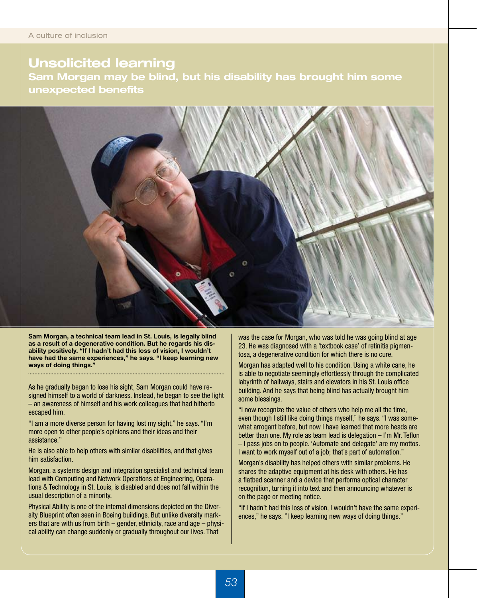# **Unsolicited learning**

**Sam Morgan may be blind, but his disability has brought him some unexpected benefits** 



**Sam Morgan, a technical team lead in St. Louis, is legally blind as a result of a degenerative condition. But he regards his disability positively. "If I hadn't had this loss of vision, I wouldn't have had the same experiences," he says. "I keep learning new ways of doing things."**

As he gradually began to lose his sight, Sam Morgan could have resigned himself to a world of darkness. Instead, he began to see the light – an awareness of himself and his work colleagues that had hitherto escaped him.

"I am a more diverse person for having lost my sight," he says. "I'm more open to other people's opinions and their ideas and their assistance."

He is also able to help others with similar disabilities, and that gives him satisfaction.

Morgan, a systems design and integration specialist and technical team lead with Computing and Network Operations at Engineering, Operations & Technology in St. Louis, is disabled and does not fall within the usual description of a minority.

Physical Ability is one of the internal dimensions depicted on the Diversity Blueprint often seen in Boeing buildings. But unlike diversity markers that are with us from birth – gender, ethnicity, race and age – physical ability can change suddenly or gradually throughout our lives. That

was the case for Morgan, who was told he was going blind at age 23. He was diagnosed with a 'textbook case' of retinitis pigmentosa, a degenerative condition for which there is no cure.

Morgan has adapted well to his condition. Using a white cane, he is able to negotiate seemingly effortlessly through the complicated labyrinth of hallways, stairs and elevators in his St. Louis office building. And he says that being blind has actually brought him some blessings.

"I now recognize the value of others who help me all the time, even though I still like doing things myself," he says. "I was somewhat arrogant before, but now I have learned that more heads are better than one. My role as team lead is delegation – I'm Mr. Teflon – I pass jobs on to people. 'Automate and delegate' are my mottos. I want to work myself out of a job; that's part of automation."

Morgan's disability has helped others with similar problems. He shares the adaptive equipment at his desk with others. He has a flatbed scanner and a device that performs optical character recognition, turning it into text and then announcing whatever is on the page or meeting notice.

"If I hadn't had this loss of vision, I wouldn't have the same experiences," he says. "I keep learning new ways of doing things."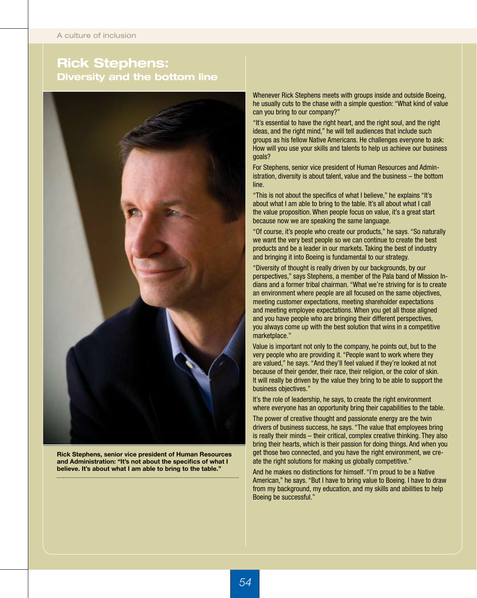# **Rick Stephens: Diversity and the bottom line**



**Rick Stephens, senior vice president of Human Resources and Administration: "It's not about the specifics of what I believe. It's about what I am able to bring to the table."** 

Whenever Rick Stephens meets with groups inside and outside Boeing, he usually cuts to the chase with a simple question: "What kind of value can you bring to our company?"

"It's essential to have the right heart, and the right soul, and the right ideas, and the right mind," he will tell audiences that include such groups as his fellow Native Americans. He challenges everyone to ask: How will you use your skills and talents to help us achieve our business goals?

For Stephens, senior vice president of Human Resources and Administration, diversity is about talent, value and the business – the bottom line.

"This is not about the specifics of what I believe," he explains "It's about what I am able to bring to the table. It's all about what I call the value proposition. When people focus on value, it's a great start because now we are speaking the same language.

"Of course, it's people who create our products," he says. "So naturally we want the very best people so we can continue to create the best products and be a leader in our markets. Taking the best of industry and bringing it into Boeing is fundamental to our strategy.

"Diversity of thought is really driven by our backgrounds, by our perspectives," says Stephens, a member of the Pala band of Mission Indians and a former tribal chairman. "What we're striving for is to create an environment where people are all focused on the same objectives, meeting customer expectations, meeting shareholder expectations and meeting employee expectations. When you get all those aligned and you have people who are bringing their different perspectives, you always come up with the best solution that wins in a competitive marketplace."

Value is important not only to the company, he points out, but to the very people who are providing it. "People want to work where they are valued," he says. "And they'll feel valued if they're looked at not because of their gender, their race, their religion, or the color of skin. It will really be driven by the value they bring to be able to support the business objectives."

It's the role of leadership, he says, to create the right environment where everyone has an opportunity bring their capabilities to the table.

The power of creative thought and passionate energy are the twin drivers of business success, he says. "The value that employees bring is really their minds – their critical, complex creative thinking. They also bring their hearts, which is their passion for doing things. And when you get those two connected, and you have the right environment, we create the right solutions for making us globally competitive."

And he makes no distinctions for himself. "I'm proud to be a Native American," he says. "But I have to bring value to Boeing. I have to draw from my background, my education, and my skills and abilities to help Boeing be successful."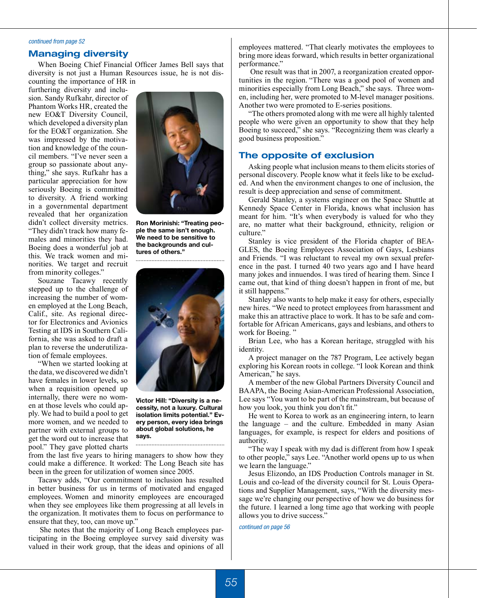#### *continued from page 52*

### **Managing diversity**

When Boeing Chief Financial Officer James Bell says that diversity is not just a Human Resources issue, he is not discounting the importance of HR in

furthering diversity and inclusion. Sandy Rufkahr, director of Phantom Works HR, created the new EO&T Diversity Council, which developed a diversity plan for the EO&T organization. She was impressed by the motivation and knowledge of the council members. "I've never seen a group so passionate about anything," she says. Rufkahr has a particular appreciation for how seriously Boeing is committed to diversity. A friend working in a governmental department revealed that her organization didn't collect diversity metrics. "They didn't track how many females and minorities they had. Boeing does a wonderful job at this. We track women and minorities. We target and recruit from minority colleges."

Souzane Tacawy recently stepped up to the challenge of increasing the number of women employed at the Long Beach, Calif., site. As regional director for Electronics and Avionics Testing at IDS in Southern California, she was asked to draft a plan to reverse the underutilization of female employees.

"When we started looking at the data, we discovered we didn't have females in lower levels, so when a requisition opened up internally, there were no women at those levels who could apply. We had to build a pool to get more women, and we needed to partner with external groups to get the word out to increase that pool." They gave plotted charts



**Ron Morinishi: "Treating people the same isn't enough. We need to be sensitive to the backgrounds and cultures of others."**



**Victor Hill: "Diversity is a necessity, not a luxury. Cultural isolation limits potential." Every person, every idea brings about global solutions, he says.**

from the last five years to hiring managers to show how they could make a difference. It worked: The Long Beach site has been in the green for utilization of women since 2005.

Tacawy adds, "Our commitment to inclusion has resulted in better business for us in terms of motivated and engaged employees. Women and minority employees are encouraged when they see employees like them progressing at all levels in the organization. It motivates them to focus on performance to ensure that they, too, can move up."

She notes that the majority of Long Beach employees participating in the Boeing employee survey said diversity was valued in their work group, that the ideas and opinions of all

employees mattered. "That clearly motivates the employees to bring more ideas forward, which results in better organizational performance."

One result was that in 2007, a reorganization created opportunities in the region. "There was a good pool of women and minorities especially from Long Beach," she says. Three women, including her, were promoted to M-level manager positions. Another two were promoted to E-series positions.

"The others promoted along with me were all highly talented people who were given an opportunity to show that they help Boeing to succeed," she says. "Recognizing them was clearly a good business proposition."

#### **The opposite of exclusion**

Asking people what inclusion means to them elicits stories of personal discovery. People know what it feels like to be excluded. And when the environment changes to one of inclusion, the result is deep appreciation and sense of commitment.

Gerald Stanley, a systems engineer on the Space Shuttle at Kennedy Space Center in Florida, knows what inclusion has meant for him. "It's when everybody is valued for who they are, no matter what their background, ethnicity, religion or culture."

Stanley is vice president of the Florida chapter of BEA-GLES, the Boeing Employees Association of Gays, Lesbians and Friends. "I was reluctant to reveal my own sexual preference in the past. I turned 40 two years ago and I have heard many jokes and innuendos. I was tired of hearing them. Since I came out, that kind of thing doesn't happen in front of me, but it still happens."

Stanley also wants to help make it easy for others, especially new hires. "We need to protect employees from harassment and make this an attractive place to work. It has to be safe and comfortable for African Americans, gays and lesbians, and others to work for Boeing."

Brian Lee, who has a Korean heritage, struggled with his identity.

A project manager on the 787 Program, Lee actively began exploring his Korean roots in college. "I look Korean and think American," he says.

A member of the new Global Partners Diversity Council and BAAPA, the Boeing Asian-American Professional Association, Lee says "You want to be part of the mainstream, but because of how you look, you think you don't fit."

He went to Korea to work as an engineering intern, to learn the language – and the culture. Embedded in many Asian languages, for example, is respect for elders and positions of authority.

"The way I speak with my dad is different from how I speak to other people," says Lee. "Another world opens up to us when we learn the language."

Jesus Elizondo, an IDS Production Controls manager in St. Louis and co-lead of the diversity council for St. Louis Operations and Supplier Management, says, "With the diversity message we're changing our perspective of how we do business for the future. I learned a long time ago that working with people allows you to drive success."

*continued on page 56*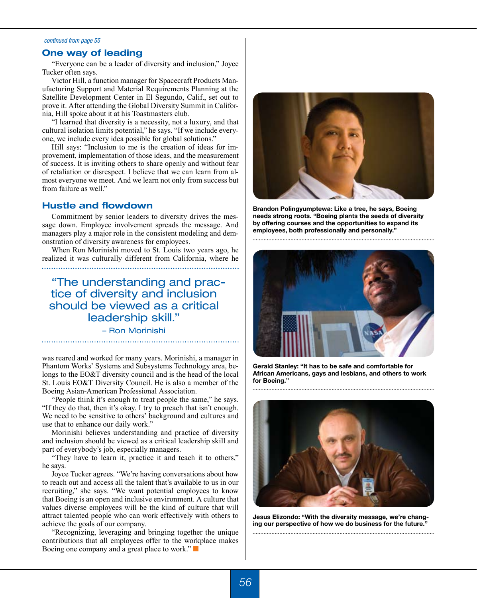#### *continued from page 55*

## **One way of leading**

"Everyone can be a leader of diversity and inclusion," Joyce Tucker often says.

Victor Hill, a function manager for Spacecraft Products Manufacturing Support and Material Requirements Planning at the Satellite Development Center in El Segundo, Calif., set out to prove it. After attending the Global Diversity Summit in California, Hill spoke about it at his Toastmasters club.

"I learned that diversity is a necessity, not a luxury, and that cultural isolation limits potential," he says. "If we include everyone, we include every idea possible for global solutions."

Hill says: "Inclusion to me is the creation of ideas for improvement, implementation of those ideas, and the measurement of success. It is inviting others to share openly and without fear of retaliation or disrespect. I believe that we can learn from almost everyone we meet. And we learn not only from success but from failure as well."

#### **Hustle and flowdown**

Commitment by senior leaders to diversity drives the message down. Employee involvement spreads the message. And managers play a major role in the consistent modeling and demonstration of diversity awareness for employees.

When Ron Morinishi moved to St. Louis two years ago, he realized it was culturally different from California, where he

"The understanding and practice of diversity and inclusion should be viewed as a critical leadership skill."

#### – Ron Morinishi

was reared and worked for many years. Morinishi, a manager in Phantom Works' Systems and Subsystems Technology area, belongs to the EO&T diversity council and is the head of the local St. Louis EO&T Diversity Council. He is also a member of the Boeing Asian-American Professional Association.

"People think it's enough to treat people the same," he says. "If they do that, then it's okay. I try to preach that isn't enough. We need to be sensitive to others' background and cultures and use that to enhance our daily work."

Morinishi believes understanding and practice of diversity and inclusion should be viewed as a critical leadership skill and part of everybody's job, especially managers.

"They have to learn it, practice it and teach it to others," he says.

Joyce Tucker agrees. "We're having conversations about how to reach out and access all the talent that's available to us in our recruiting," she says. "We want potential employees to know that Boeing is an open and inclusive environment. A culture that values diverse employees will be the kind of culture that will attract talented people who can work effectively with others to achieve the goals of our company.

"Recognizing, leveraging and bringing together the unique contributions that all employees offer to the workplace makes Boeing one company and a great place to work." $\Box$ 



**Brandon Polingyumptewa: Like a tree, he says, Boeing needs strong roots. "Boeing plants the seeds of diversity by offering courses and the opportunities to expand its employees, both professionally and personally."**



**Gerald Stanley: "It has to be safe and comfortable for African Americans, gays and lesbians, and others to work for Boeing."**



**Jesus Elizondo: "With the diversity message, we're changing our perspective of how we do business for the future."**